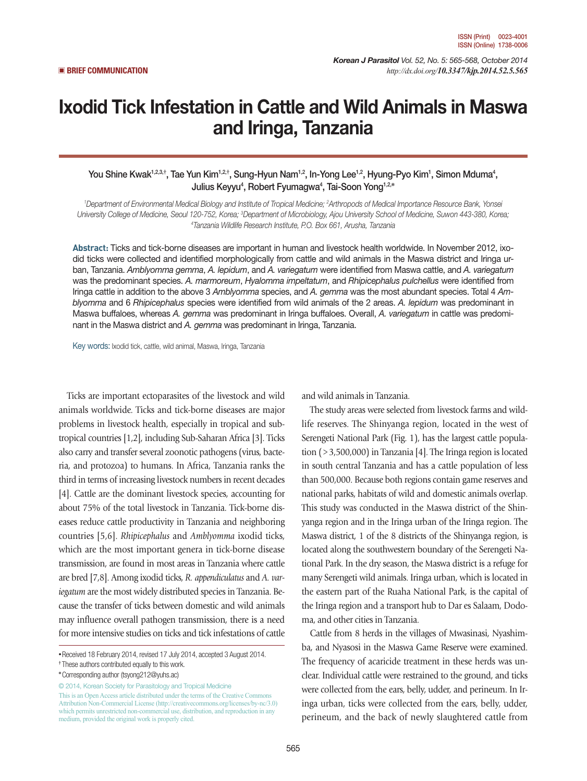*Korean J Parasitol Vol. 52, No. 5: 565-568, October 2014*  ▣ **BRIEF COMMUNICATION** *http://dx.doi.org/10.3347/kjp.2014.52.5.565*

# Ixodid Tick Infestation in Cattle and Wild Animals in Maswa and Iringa, Tanzania

You Shine Kwak<sup>1,2,3,†</sup>, Tae Yun Kim<sup>1,2,†</sup>, Sung-Hyun Nam<sup>1,2</sup>, In-Yong Lee<sup>1,2</sup>, Hyung-Pyo Kim<sup>1</sup>, Simon Mduma<sup>4</sup>, Julius Keyyu4 , Robert Fyumagwa4 , Tai-Soon Yong1,2,**\***

<sup>1</sup>Department of Environmental Medical Biology and Institute of Tropical Medicine; <sup>2</sup>Arthropods of Medical Importance Resource Bank, Yonsei University College of Medicine, Seoul 120-752, Korea; <sup>3</sup>Department of Microbiology, Ajou University School of Medicine, Suwon 443-380, Korea;<br><sup>4Tonzonia Wildlife Besearch Institute PO, Box 661, Arusha, Tonzania</sup> *Tanzania Wildlife Research Institute, P.O. Box 661, Arusha, Tanzania*

**Abstract:** Ticks and tick-borne diseases are important in human and livestock health worldwide. In November 2012, ixodid ticks were collected and identified morphologically from cattle and wild animals in the Maswa district and Iringa urban, Tanzania. *Amblyomma gemma*, *A. lepidum*, and *A. variegatum* were identified from Maswa cattle, and *A. variegatum* was the predominant species. *A. marmoreum*, *Hyalomma impeltatum*, and *Rhipicephalus pulchellus* were identified from Iringa cattle in addition to the above 3 *Amblyomma* species, and *A. gemma* was the most abundant species. Total 4 *Amblyomma* and 6 *Rhipicephalus* species were identified from wild animals of the 2 areas. *A. lepidum* was predominant in Maswa buffaloes, whereas *A. gemma* was predominant in Iringa buffaloes. Overall, *A. variegatum* in cattle was predominant in the Maswa district and *A. gemma* was predominant in Iringa, Tanzania.

Key words: Ixodid tick, cattle, wild animal, Maswa, Iringa, Tanzania

Ticks are important ectoparasites of the livestock and wild animals worldwide. Ticks and tick-borne diseases are major problems in livestock health, especially in tropical and subtropical countries [1,2], including Sub-Saharan Africa [3]. Ticks also carry and transfer several zoonotic pathogens (virus, bacteria, and protozoa) to humans. In Africa, Tanzania ranks the third in terms of increasing livestock numbers in recent decades [4]. Cattle are the dominant livestock species, accounting for about 75% of the total livestock in Tanzania. Tick-borne diseases reduce cattle productivity in Tanzania and neighboring countries [5,6]. *Rhipicephalus* and *Amblyomma* ixodid ticks, which are the most important genera in tick-borne disease transmission, are found in most areas in Tanzania where cattle are bred [7,8]. Among ixodid ticks, *R. appendiculatus* and *A. variegatum* are the most widely distributed species in Tanzania. Because the transfer of ticks between domestic and wild animals may influence overall pathogen transmission, there is a need for more intensive studies on ticks and tick infestations of cattle

© 2014, Korean Society for Parasitology and Tropical Medicine

This is an Open Access article distributed under the terms of the Creative Commons Attribution Non-Commercial License (http://creativecommons.org/licenses/by-nc/3.0) which permits unrestricted non-commercial use, distribution, and reproduction in any medium, provided the original work is properly cited.

and wild animals in Tanzania.

The study areas were selected from livestock farms and wildlife reserves. The Shinyanga region, located in the west of Serengeti National Park (Fig. 1), has the largest cattle population (>3,500,000) in Tanzania [4]. The Iringa region is located in south central Tanzania and has a cattle population of less than 500,000. Because both regions contain game reserves and national parks, habitats of wild and domestic animals overlap. This study was conducted in the Maswa district of the Shinyanga region and in the Iringa urban of the Iringa region. The Maswa district, 1 of the 8 districts of the Shinyanga region, is located along the southwestern boundary of the Serengeti National Park. In the dry season, the Maswa district is a refuge for many Serengeti wild animals. Iringa urban, which is located in the eastern part of the Ruaha National Park, is the capital of the Iringa region and a transport hub to Dar es Salaam, Dodoma, and other cities in Tanzania.

Cattle from 8 herds in the villages of Mwasinasi, Nyashimba, and Nyasosi in the Maswa Game Reserve were examined. The frequency of acaricide treatment in these herds was unclear. Individual cattle were restrained to the ground, and ticks were collected from the ears, belly, udder, and perineum. In Iringa urban, ticks were collected from the ears, belly, udder, perineum, and the back of newly slaughtered cattle from

**<sup>•</sup>**Received 18 February 2014, revised 17 July 2014, accepted 3 August 2014.

**<sup>†</sup>** These authors contributed equally to this work.

**<sup>\*</sup>**Corresponding author (tsyong212@yuhs.ac)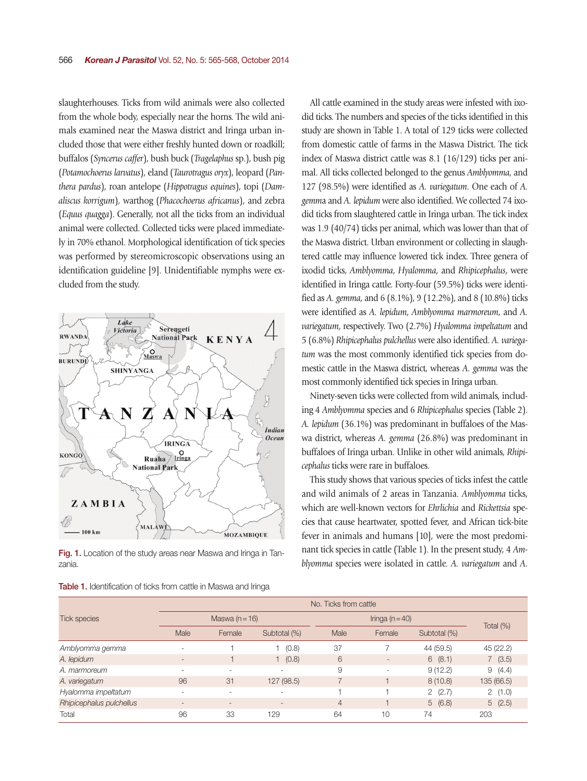slaughterhouses. Ticks from wild animals were also collected from the whole body, especially near the horns. The wild animals examined near the Maswa district and Iringa urban included those that were either freshly hunted down or roadkill; buffalos (*Syncerus caffer*), bush buck (*Tragelaphus* sp.), bush pig (*Potamochoerus larvatus*), eland (*Taurotragus oryx*), leopard (*Panthera pardus*), roan antelope (*Hippotragus equines*), topi (*Damaliscus korrigum*), warthog (*Phacochoerus africanus*), and zebra (*Equus quagga*). Generally, not all the ticks from an individual animal were collected. Collected ticks were placed immediately in 70% ethanol. Morphological identification of tick species was performed by stereomicroscopic observations using an identification guideline [9]. Unidentifiable nymphs were excluded from the study.



Fig. 1. Location of the study areas near Maswa and Iringa in Tanzania.

|  |  |  |  |  |  |  |  |  |  | Table 1. Identification of ticks from cattle in Maswa and Iringa |  |  |
|--|--|--|--|--|--|--|--|--|--|------------------------------------------------------------------|--|--|
|--|--|--|--|--|--|--|--|--|--|------------------------------------------------------------------|--|--|

All cattle examined in the study areas were infested with ixodid ticks. The numbers and species of the ticks identified in this study are shown in Table 1. A total of 129 ticks were collected from domestic cattle of farms in the Maswa District. The tick index of Maswa district cattle was 8.1 (16/129) ticks per animal. All ticks collected belonged to the genus *Amblyomma*, and 127 (98.5%) were identified as *A. variegatum*. One each of *A. gemm*a and *A. lepidum* were also identified. We collected 74 ixodid ticks from slaughtered cattle in Iringa urban. The tick index was 1.9 (40/74) ticks per animal, which was lower than that of the Maswa district. Urban environment or collecting in slaughtered cattle may influence lowered tick index. Three genera of ixodid ticks, *Amblyomma*, *Hyalomma*, and *Rhipicephalus*, were identified in Iringa cattle. Forty-four (59.5%) ticks were identified as *A. gemma*, and 6 (8.1%), 9 (12.2%), and 8 (10.8%) ticks were identified as *A. lepidum*, *Amblyomma marmoreum*, and *A. variegatum*, respectively. Two (2.7%) *Hyalomma impeltatum* and 5 (6.8%) *Rhipicephalus pulchellus* were also identified. *A. variegatum* was the most commonly identified tick species from domestic cattle in the Maswa district, whereas *A. gemma* was the most commonly identified tick species in Iringa urban.

Ninety-seven ticks were collected from wild animals, including 4 *Amblyomma* species and 6 *Rhipicephalus* species (Table 2). *A. lepidum* (36.1%) was predominant in buffaloes of the Maswa district, whereas *A. gemma* (26.8%) was predominant in buffaloes of Iringa urban. Unlike in other wild animals, *Rhipicephalus* ticks were rare in buffaloes.

This study shows that various species of ticks infest the cattle and wild animals of 2 areas in Tanzania. *Amblyomma* ticks, which are well-known vectors for *Ehrlichia* and *Rickettsia* species that cause heartwater, spotted fever, and African tick-bite fever in animals and humans [10], were the most predominant tick species in cattle (Table 1). In the present study, 4 *Amblyomma* species were isolated in cattle. *A. variegatum* and *A.* 

|                          | No. Ticks from cattle |                          |                          |                |                          |              |              |  |  |
|--------------------------|-----------------------|--------------------------|--------------------------|----------------|--------------------------|--------------|--------------|--|--|
| <b>Tick species</b>      |                       | Maswa ( $n = 16$ )       |                          |                |                          |              |              |  |  |
|                          | Male                  | Female                   | Subtotal (%)             | Male           | Female                   | Subtotal (%) | Total $(\%)$ |  |  |
| Amblyomma gemma          |                       |                          | 1(0.8)                   | 37             |                          | 44 (59.5)    | 45 (22.2)    |  |  |
| A. lepidum               |                       |                          | 1 (0.8)                  | 6              | $\overline{\phantom{a}}$ | 6(8.1)       | 7(3.5)       |  |  |
| A. marmoreum             |                       | $\sim$                   | ٠.                       | 9              | ٠                        | 9(12.2)      | 9(4.4)       |  |  |
| A. variegatum            | 96                    | 31                       | 127 (98.5)               |                |                          | 8(10.8)      | 135 (66.5)   |  |  |
| Hyalomma impeltatum      | ۰                     | $\overline{\phantom{a}}$ | $\overline{\phantom{a}}$ |                |                          | 2(2.7)       | 2(1.0)       |  |  |
| Rhipicephalus pulchellus |                       | $\overline{\phantom{a}}$ | $\overline{a}$           | $\overline{4}$ |                          | 5(6.8)       | 5(2.5)       |  |  |
| Total                    | 96                    | 33                       | 129                      | 64             | 10                       | 74           | 203          |  |  |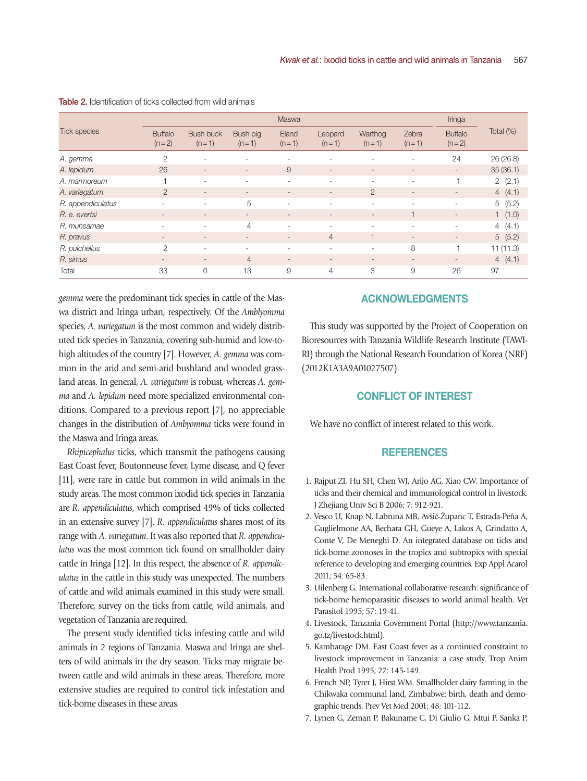|                     | Maswa                     |                             |                          |                          |                          |                          |                          | Iringa                    |           |
|---------------------|---------------------------|-----------------------------|--------------------------|--------------------------|--------------------------|--------------------------|--------------------------|---------------------------|-----------|
| <b>Tick species</b> | <b>Buffalo</b><br>$(n=2)$ | <b>Bush buck</b><br>$(n=1)$ | Bush pig<br>$(n=1)$      | Eland<br>$(n=1)$         | Leopard<br>$(n=1)$       | Warthog<br>$(n=1)$       | Zebra<br>$(n=1)$         | <b>Buffalo</b><br>$(n=2)$ | Total (%) |
| A. gemma            | $\overline{2}$            | $\overline{\phantom{a}}$    |                          |                          | $\sim$                   |                          | ٠.                       | 24                        | 26(26.8)  |
| A. lepidum          | 26                        | $\overline{\phantom{a}}$    | $\overline{\phantom{a}}$ | 9                        | $\overline{\phantom{a}}$ | $\overline{\phantom{a}}$ | $\overline{\phantom{a}}$ | $\overline{\phantom{a}}$  | 35(36.1)  |
| A. marmoreum        |                           | $\overline{\phantom{a}}$    | $\overline{\phantom{a}}$ | ۰                        | ٠                        | ٠                        | $\overline{\phantom{a}}$ |                           | 2(2.1)    |
| A. variegatum       | $\overline{2}$            | $\overline{\phantom{a}}$    | $\overline{\phantom{a}}$ | $\sim$                   | $\overline{\phantom{a}}$ | $\overline{2}$           | $\overline{\phantom{a}}$ | $\overline{\phantom{a}}$  | 4(4.1)    |
| R. appendiculatus   | ۰                         | $\overline{\phantom{a}}$    | 5                        | $\sim$                   | $\overline{\phantom{a}}$ | ٠                        | $\overline{\phantom{a}}$ | $\overline{\phantom{a}}$  | 5(5.2)    |
| R. e. evertsi       | $\sim$                    | $\overline{\phantom{a}}$    | $\overline{\phantom{a}}$ | $\overline{\phantom{a}}$ | $\overline{\phantom{a}}$ | $\overline{\phantom{a}}$ | $\overline{\phantom{a}}$ | $\overline{\phantom{a}}$  | 1(1.0)    |
| R. muhsamae         | ۰                         | $\overline{\phantom{a}}$    | 4                        | $\sim$                   | $\overline{\phantom{a}}$ | $\sim$                   | $\overline{\phantom{a}}$ | ٠                         | 4(4.1)    |
| R. pravus           | $\qquad \qquad =$         | $\overline{\phantom{a}}$    | $\sim$                   | $\sim$                   | $\overline{4}$           | 1                        | $\overline{\phantom{a}}$ | $\overline{\phantom{a}}$  | 5(5.2)    |
| R. pulchellus       | $\mathcal{P}$             | ٠                           | $\overline{\phantom{a}}$ | ٠                        | $\overline{\phantom{a}}$ | ٠                        | 8                        |                           | 11(11.3)  |
| R. simus            | $\overline{\phantom{a}}$  | $\overline{\phantom{a}}$    | $\overline{4}$           | $\sim$                   | $\overline{\phantom{a}}$ | $\overline{\phantom{a}}$ | $\overline{\phantom{a}}$ | $\overline{\phantom{a}}$  | 4(4.1)    |
| Total               | 33                        | 0                           | 13                       | 9                        | $\overline{4}$           | 3                        | 9                        | 26                        | 97        |

#### Table 2. Identification of ticks collected from wild animals

*gemma* were the predominant tick species in cattle of the Maswa district and Iringa urban, respectively. Of the *Amblyomma* species, *A. variegatum* is the most common and widely distributed tick species in Tanzania, covering sub-humid and low-tohigh altitudes of the country [7]. However, *A. gemma* was common in the arid and semi-arid bushland and wooded grassland areas. In general, *A. variegatum* is robust, whereas *A. gemma* and *A. lepidum* need more specialized environmental conditions. Compared to a previous report [7], no appreciable changes in the distribution of *Ambyomma* ticks were found in the Maswa and Iringa areas.

*Rhipicephalus* ticks, which transmit the pathogens causing East Coast fever, Boutonneuse fever, Lyme disease, and Q fever [11], were rare in cattle but common in wild animals in the study areas. The most common ixodid tick species in Tanzania are *R. appendiculatus*, which comprised 49% of ticks collected in an extensive survey [7]. *R. appendiculatus* shares most of its range with *A. variegatum*. It was also reported that *R. appendiculatus* was the most common tick found on smallholder dairy cattle in Iringa [12]. In this respect, the absence of *R. appendiculatus* in the cattle in this study was unexpected. The numbers of cattle and wild animals examined in this study were small. Therefore, survey on the ticks from cattle, wild animals, and vegetation of Tanzania are required.

The present study identified ticks infesting cattle and wild animals in 2 regions of Tanzania. Maswa and Iringa are shelters of wild animals in the dry season. Ticks may migrate between cattle and wild animals in these areas. Therefore, more extensive studies are required to control tick infestation and tick-borne diseases in these areas.

# ACKNOWLEDGMENTS

This study was supported by the Project of Cooperation on Bioresources with Tanzania Wildlife Research Institute (TAWI-RI) through the National Research Foundation of Korea (NRF) (2012K1A3A9A01027507).

## CONFLICT OF INTEREST

We have no conflict of interest related to this work.

### **REFERENCES**

- 1. Rajput ZI, Hu SH, Chen WJ, Arijo AG, Xiao CW. Importance of ticks and their chemical and immunological control in livestock. J Zhejiang Univ Sci B 2006; 7: 912-921.
- 2. Vesco U, Knap N, Labruna MB, Avšič-Županc T, Estrada-Peña A, Guglielmone AA, Bechara GH, Gueye A, Lakos A, Grindatto A, Conte V, De Meneghi D. An integrated database on ticks and tick-borne zoonoses in the tropics and subtropics with special reference to developing and emerging countries. Exp Appl Acarol 2011; 54: 65-83.
- 3. Uilenberg G. International collaborative research: significance of tick-borne hemoparasitic diseases to world animal health. Vet Parasitol 1995; 57: 19-41.
- 4. Livestock, Tanzania Government Portal (http://www.tanzania. go.tz/livestock.html).
- 5. Kambarage DM. East Coast fever as a continued constraint to livestock improvement in Tanzania: a case study. Trop Anim Health Prod 1995; 27: 145-149.
- 6. French NP, Tyrer J, Hirst WM. Smallholder dairy farming in the Chikwaka communal land, Zimbabwe: birth, death and demographic trends. Prev Vet Med 2001; 48: 101-112.
- 7. Lynen G, Zeman P, Bakuname C, Di Giulio G, Mtui P, Sanka P,